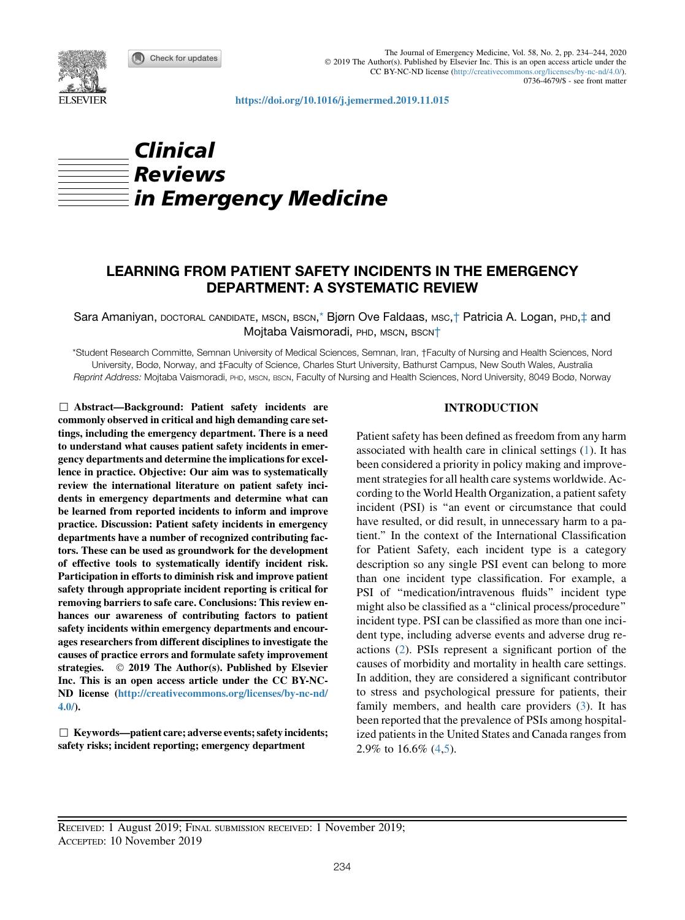Check for updates



The Journal of Emergency Medicine, Vol. 58, No. 2, pp. 234–244, 2020 2019 The Author(s). Published by Elsevier Inc. This is an open access article under the CC BY-NC-ND license (<http://creativecommons.org/licenses/by-nc-nd/4.0/>). 0736-4679/\$ - see front matter

<https://doi.org/10.1016/j.jemermed.2019.11.015>

# Clinical Reviews  $\frac{1}{2}$ in Emergency Medicine

## LEARNING FROM PATIENT SAFETY INCIDENTS IN THE EMERGENCY DEPARTMENT: A SYSTEMATIC REVIEW

Sara Amaniyan, DOCTORAL CANDIDATE, MSCN, BSCN,<sup>[\\*](#page-0-0)</sup> Bjørn Ove Faldaas, MSC,† Patricia A. Logan, PHD,‡ and Mojtaba Vaismoradi, PHD, MSCN, BSCN<sup>†</sup>

<span id="page-0-0"></span>\*Student Research Committe, Semnan University of Medical Sciences, Semnan, Iran, †Faculty of Nursing and Health Sciences, Nord University, Bodø, Norway, and ‡Faculty of Science, Charles Sturt University, Bathurst Campus, New South Wales, Australia Reprint Address: Mojtaba Vaismoradi, PHD, MSCN, BSCN, Faculty of Nursing and Health Sciences, Nord University, 8049 Bodø, Norway

 $\Box$  Abstract—Background: Patient safety incidents are commonly observed in critical and high demanding care settings, including the emergency department. There is a need to understand what causes patient safety incidents in emergency departments and determine the implications for excellence in practice. Objective: Our aim was to systematically review the international literature on patient safety incidents in emergency departments and determine what can be learned from reported incidents to inform and improve practice. Discussion: Patient safety incidents in emergency departments have a number of recognized contributing factors. These can be used as groundwork for the development of effective tools to systematically identify incident risk. Participation in efforts to diminish risk and improve patient safety through appropriate incident reporting is critical for removing barriers to safe care. Conclusions: This review enhances our awareness of contributing factors to patient safety incidents within emergency departments and encourages researchers from different disciplines to investigate the causes of practice errors and formulate safety improvement strategies.  $\oslash$  2019 The Author(s). Published by Elsevier Inc. This is an open access article under the CC BY-NC-ND license [\(http://creativecommons.org/licenses/by-nc-nd/](http://creativecommons.org/licenses/by-nc-nd/4.0/) [4.0/\)](http://creativecommons.org/licenses/by-nc-nd/4.0/).

 $\Box$  Keywords—patient care; adverse events; safety incidents; safety risks; incident reporting; emergency department

## INTRODUCTION

Patient safety has been defined as freedom from any harm associated with health care in clinical settings [\(1](#page-8-0)). It has been considered a priority in policy making and improvement strategies for all health care systems worldwide. According to the World Health Organization, a patient safety incident (PSI) is ''an event or circumstance that could have resulted, or did result, in unnecessary harm to a patient.'' In the context of the International Classification for Patient Safety, each incident type is a category description so any single PSI event can belong to more than one incident type classification. For example, a PSI of ''medication/intravenous fluids'' incident type might also be classified as a ''clinical process/procedure'' incident type. PSI can be classified as more than one incident type, including adverse events and adverse drug reactions ([2\)](#page-8-1). PSIs represent a significant portion of the causes of morbidity and mortality in health care settings. In addition, they are considered a significant contributor to stress and psychological pressure for patients, their family members, and health care providers [\(3](#page-8-2)). It has been reported that the prevalence of PSIs among hospitalized patients in the United States and Canada ranges from 2.9% to 16.6% [\(4](#page-8-3)[,5](#page-8-4)).

RECEIVED: 1 August 2019; FINAL SUBMISSION RECEIVED: 1 November 2019; ACCEPTED: 10 November 2019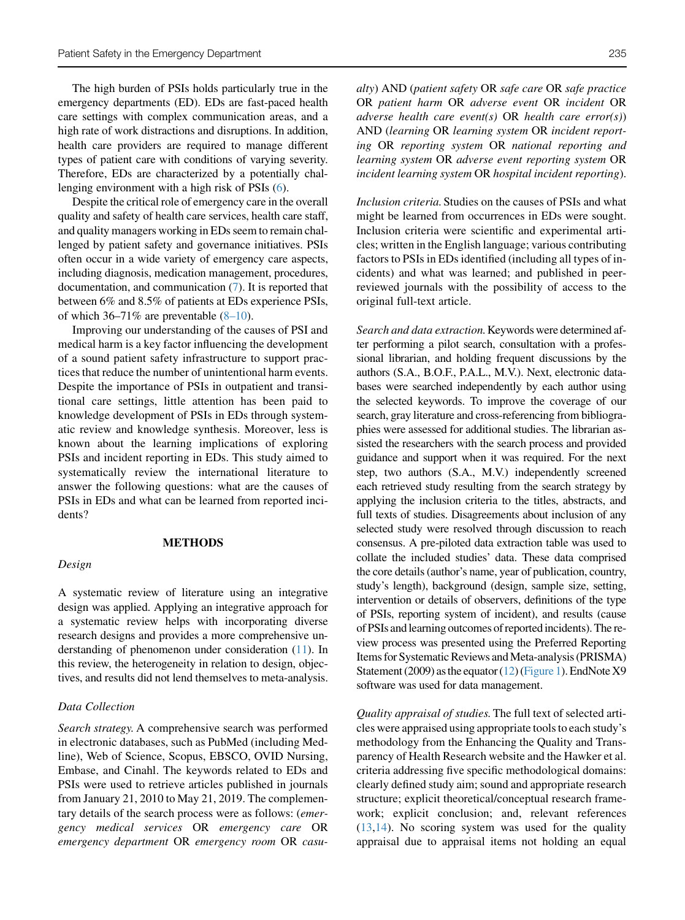The high burden of PSIs holds particularly true in the emergency departments (ED). EDs are fast-paced health care settings with complex communication areas, and a high rate of work distractions and disruptions. In addition, health care providers are required to manage different types of patient care with conditions of varying severity. Therefore, EDs are characterized by a potentially challenging environment with a high risk of PSIs ([6\)](#page-8-5).

Despite the critical role of emergency care in the overall quality and safety of health care services, health care staff, and quality managers working in EDs seem to remain challenged by patient safety and governance initiatives. PSIs often occur in a wide variety of emergency care aspects, including diagnosis, medication management, procedures, documentation, and communication ([7\)](#page-8-6). It is reported that between 6% and 8.5% of patients at EDs experience PSIs, of which  $36-71\%$  are preventable  $(8-10)$ .

Improving our understanding of the causes of PSI and medical harm is a key factor influencing the development of a sound patient safety infrastructure to support practices that reduce the number of unintentional harm events. Despite the importance of PSIs in outpatient and transitional care settings, little attention has been paid to knowledge development of PSIs in EDs through systematic review and knowledge synthesis. Moreover, less is known about the learning implications of exploring PSIs and incident reporting in EDs. This study aimed to systematically review the international literature to answer the following questions: what are the causes of PSIs in EDs and what can be learned from reported incidents?

#### METHODS

#### Design

A systematic review of literature using an integrative design was applied. Applying an integrative approach for a systematic review helps with incorporating diverse research designs and provides a more comprehensive understanding of phenomenon under consideration [\(11\)](#page-8-8). In this review, the heterogeneity in relation to design, objectives, and results did not lend themselves to meta-analysis.

#### Data Collection

Search strategy. A comprehensive search was performed in electronic databases, such as PubMed (including Medline), Web of Science, Scopus, EBSCO, OVID Nursing, Embase, and Cinahl. The keywords related to EDs and PSIs were used to retrieve articles published in journals from January 21, 2010 to May 21, 2019. The complementary details of the search process were as follows: (emergency medical services OR emergency care OR emergency department OR emergency room OR casualty) AND (patient safety OR safe care OR safe practice OR patient harm OR adverse event OR incident OR adverse health care event(s) OR health care error(s)) AND (learning OR learning system OR incident reporting OR reporting system OR national reporting and learning system OR adverse event reporting system OR incident learning system OR hospital incident reporting).

Inclusion criteria.Studies on the causes of PSIs and what might be learned from occurrences in EDs were sought. Inclusion criteria were scientific and experimental articles; written in the English language; various contributing factors to PSIs in EDs identified (including all types of incidents) and what was learned; and published in peerreviewed journals with the possibility of access to the original full-text article.

Search and data extraction. Keywords were determined after performing a pilot search, consultation with a professional librarian, and holding frequent discussions by the authors (S.A., B.O.F., P.A.L., M.V.). Next, electronic databases were searched independently by each author using the selected keywords. To improve the coverage of our search, gray literature and cross-referencing from bibliographies were assessed for additional studies. The librarian assisted the researchers with the search process and provided guidance and support when it was required. For the next step, two authors (S.A., M.V.) independently screened each retrieved study resulting from the search strategy by applying the inclusion criteria to the titles, abstracts, and full texts of studies. Disagreements about inclusion of any selected study were resolved through discussion to reach consensus. A pre-piloted data extraction table was used to collate the included studies' data. These data comprised the core details (author's name, year of publication, country, study's length), background (design, sample size, setting, intervention or details of observers, definitions of the type of PSIs, reporting system of incident), and results (cause of PSIs andlearning outcomes of reportedincidents). The review process was presented using the Preferred Reporting Items for Systematic Reviews and Meta-analysis (PRISMA) Statement (2009) asthe equator [\(12](#page-8-9)) [\(Figure 1](#page-2-0)). EndNote X9 software was used for data management.

Quality appraisal of studies.The full text of selected articles were appraised using appropriate tools to each study's methodology from the Enhancing the Quality and Transparency of Health Research website and the Hawker et al. criteria addressing five specific methodological domains: clearly defined study aim; sound and appropriate research structure; explicit theoretical/conceptual research framework; explicit conclusion; and, relevant references  $(13,14)$  $(13,14)$  $(13,14)$ . No scoring system was used for the quality appraisal due to appraisal items not holding an equal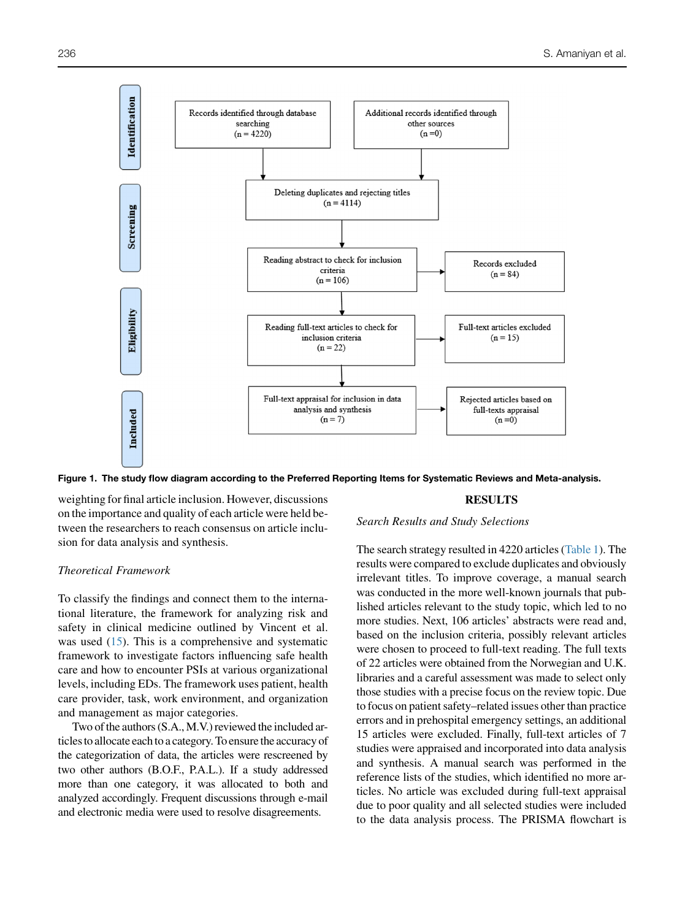<span id="page-2-0"></span>

Figure 1. The study flow diagram according to the Preferred Reporting Items for Systematic Reviews and Meta-analysis.

weighting for final article inclusion. However, discussions on the importance and quality of each article were held between the researchers to reach consensus on article inclusion for data analysis and synthesis.

#### Theoretical Framework

To classify the findings and connect them to the international literature, the framework for analyzing risk and safety in clinical medicine outlined by Vincent et al. was used  $(15)$  $(15)$ . This is a comprehensive and systematic framework to investigate factors influencing safe health care and how to encounter PSIs at various organizational levels, including EDs. The framework uses patient, health care provider, task, work environment, and organization and management as major categories.

Two of the authors (S.A., M.V.) reviewed the included articles to allocate each to a category. To ensure the accuracy of the categorization of data, the articles were rescreened by two other authors (B.O.F., P.A.L.). If a study addressed more than one category, it was allocated to both and analyzed accordingly. Frequent discussions through e-mail and electronic media were used to resolve disagreements.

#### RESULTS

Search Results and Study Selections

The search strategy resulted in 4220 articles [\(Table 1\)](#page-3-0). The results were compared to exclude duplicates and obviously irrelevant titles. To improve coverage, a manual search was conducted in the more well-known journals that published articles relevant to the study topic, which led to no more studies. Next, 106 articles' abstracts were read and, based on the inclusion criteria, possibly relevant articles were chosen to proceed to full-text reading. The full texts of 22 articles were obtained from the Norwegian and U.K. libraries and a careful assessment was made to select only those studies with a precise focus on the review topic. Due to focus on patient safety–related issues other than practice errors and in prehospital emergency settings, an additional 15 articles were excluded. Finally, full-text articles of 7 studies were appraised and incorporated into data analysis and synthesis. A manual search was performed in the reference lists of the studies, which identified no more articles. No article was excluded during full-text appraisal due to poor quality and all selected studies were included to the data analysis process. The PRISMA flowchart is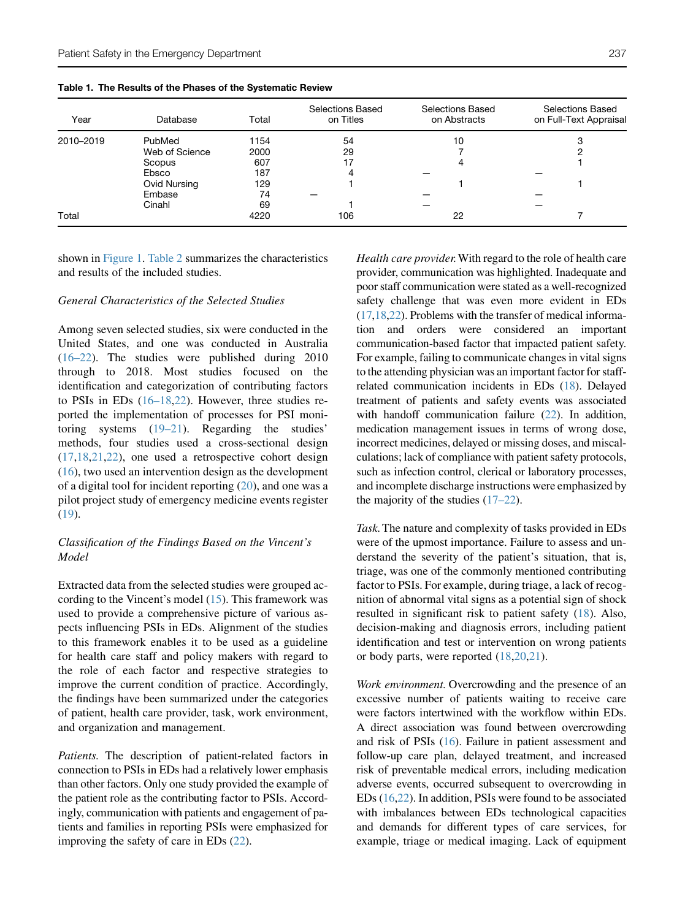<span id="page-3-0"></span>

|  |  | Table 1. The Results of the Phases of the Systematic Review |  |  |  |
|--|--|-------------------------------------------------------------|--|--|--|
|--|--|-------------------------------------------------------------|--|--|--|

| Year      | Database       | Total | Selections Based<br>on Titles | Selections Based<br>on Abstracts | Selections Based<br>on Full-Text Appraisal |
|-----------|----------------|-------|-------------------------------|----------------------------------|--------------------------------------------|
| 2010-2019 | PubMed         | 1154  | 54                            | 10                               | C<br>د.                                    |
|           | Web of Science | 2000  | 29                            |                                  |                                            |
|           | Scopus         | 607   | 17                            |                                  |                                            |
|           | Ebsco          | 187   | 4                             |                                  |                                            |
|           | Ovid Nursing   | 129   |                               |                                  |                                            |
|           | Embase         | 74    |                               |                                  |                                            |
|           | Cinahl         | 69    |                               |                                  |                                            |
| Total     |                | 4220  | 106                           | 22                               |                                            |

shown in [Figure 1.](#page-2-0) [Table 2](#page-4-0) summarizes the characteristics and results of the included studies.

#### General Characteristics of the Selected Studies

Among seven selected studies, six were conducted in the United States, and one was conducted in Australia [\(16–22](#page-8-13)). The studies were published during 2010 through to 2018. Most studies focused on the identification and categorization of contributing factors to PSIs in EDs [\(16–18](#page-8-13),[22\)](#page-8-14). However, three studies reported the implementation of processes for PSI monitoring systems ([19–21\)](#page-8-15). Regarding the studies' methods, four studies used a cross-sectional design [\(17](#page-8-16),[18,](#page-8-17)[21](#page-8-18),[22\)](#page-8-14), one used a retrospective cohort design [\(16](#page-8-13)), two used an intervention design as the development of a digital tool for incident reporting ([20\)](#page-8-19), and one was a pilot project study of emergency medicine events register [\(19](#page-8-15)).

## Classification of the Findings Based on the Vincent's Model

Extracted data from the selected studies were grouped according to the Vincent's model ([15\)](#page-8-12). This framework was used to provide a comprehensive picture of various aspects influencing PSIs in EDs. Alignment of the studies to this framework enables it to be used as a guideline for health care staff and policy makers with regard to the role of each factor and respective strategies to improve the current condition of practice. Accordingly, the findings have been summarized under the categories of patient, health care provider, task, work environment, and organization and management.

Patients. The description of patient-related factors in connection to PSIs in EDs had a relatively lower emphasis than other factors. Only one study provided the example of the patient role as the contributing factor to PSIs. Accordingly, communication with patients and engagement of patients and families in reporting PSIs were emphasized for improving the safety of care in EDs ([22](#page-8-14)).

Health care provider. With regard to the role of health care provider, communication was highlighted. Inadequate and poor staff communication were stated as a well-recognized safety challenge that was even more evident in EDs [\(17](#page-8-16)[,18](#page-8-17),[22](#page-8-14)). Problems with the transfer of medical information and orders were considered an important communication-based factor that impacted patient safety. For example, failing to communicate changes in vital signs to the attending physician was an important factor for staffrelated communication incidents in EDs [\(18\)](#page-8-17). Delayed treatment of patients and safety events was associated with handoff communication failure [\(22](#page-8-14)). In addition, medication management issues in terms of wrong dose, incorrect medicines, delayed or missing doses, and miscalculations; lack of compliance with patient safety protocols, such as infection control, clerical or laboratory processes, and incomplete discharge instructions were emphasized by the majority of the studies [\(17–22\)](#page-8-16).

Task.The nature and complexity of tasks provided in EDs were of the upmost importance. Failure to assess and understand the severity of the patient's situation, that is, triage, was one of the commonly mentioned contributing factor to PSIs. For example, during triage, a lack of recognition of abnormal vital signs as a potential sign of shock resulted in significant risk to patient safety [\(18](#page-8-17)). Also, decision-making and diagnosis errors, including patient identification and test or intervention on wrong patients or body parts, were reported [\(18](#page-8-17),[20,](#page-8-19)[21](#page-8-18)).

Work environment. Overcrowding and the presence of an excessive number of patients waiting to receive care were factors intertwined with the workflow within EDs. A direct association was found between overcrowding and risk of PSIs [\(16\)](#page-8-13). Failure in patient assessment and follow-up care plan, delayed treatment, and increased risk of preventable medical errors, including medication adverse events, occurred subsequent to overcrowding in EDs [\(16](#page-8-13)[,22](#page-8-14)). In addition, PSIs were found to be associated with imbalances between EDs technological capacities and demands for different types of care services, for example, triage or medical imaging. Lack of equipment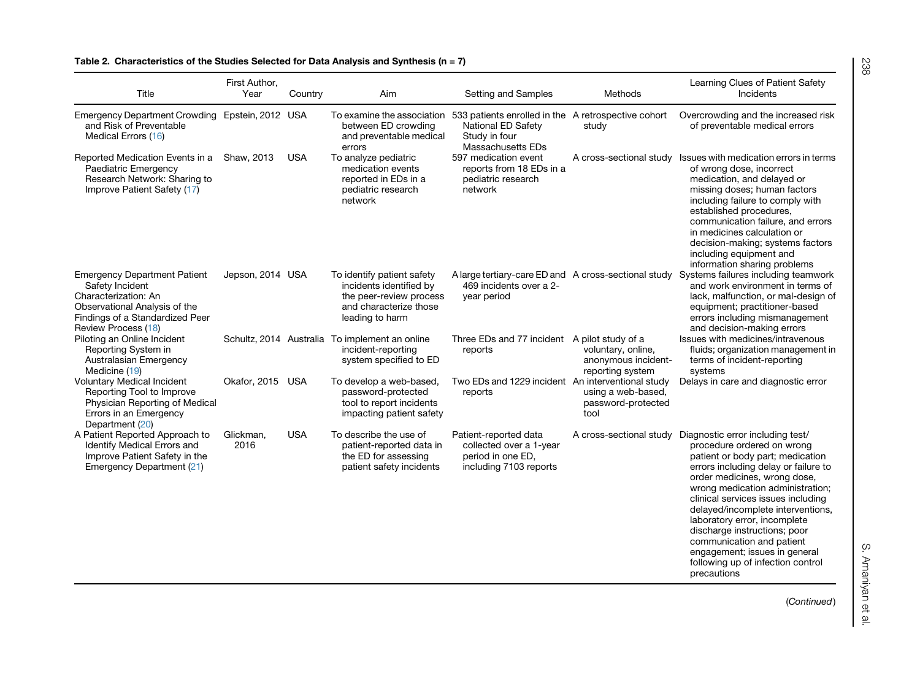<span id="page-4-0"></span>

| Title                                                                                                                                                                     | First Author,<br>Year | Country    | Aim                                                                                                                           | Setting and Samples                                                                                                                               | Methods                                                       | Learning Clues of Patient Safety<br>Incidents                                                                                                                                                                                                                                                                                                                                                                                                                                                       |
|---------------------------------------------------------------------------------------------------------------------------------------------------------------------------|-----------------------|------------|-------------------------------------------------------------------------------------------------------------------------------|---------------------------------------------------------------------------------------------------------------------------------------------------|---------------------------------------------------------------|-----------------------------------------------------------------------------------------------------------------------------------------------------------------------------------------------------------------------------------------------------------------------------------------------------------------------------------------------------------------------------------------------------------------------------------------------------------------------------------------------------|
| Emergency Department Crowding Epstein, 2012 USA<br>and Risk of Preventable<br>Medical Errors (16)                                                                         |                       |            | between ED crowding<br>and preventable medical<br>errors                                                                      | To examine the association 533 patients enrolled in the A retrospective cohort<br><b>National ED Safety</b><br>Study in four<br>Massachusetts EDs | study                                                         | Overcrowding and the increased risk<br>of preventable medical errors                                                                                                                                                                                                                                                                                                                                                                                                                                |
| Reported Medication Events in a<br>Paediatric Emergency<br>Research Network: Sharing to<br>Improve Patient Safety (17)                                                    | Shaw, 2013            | <b>USA</b> | To analyze pediatric<br>medication events<br>reported in EDs in a<br>pediatric research<br>network                            | 597 medication event<br>reports from 18 EDs in a<br>pediatric research<br>network                                                                 |                                                               | A cross-sectional study Issues with medication errors in terms<br>of wrong dose, incorrect<br>medication, and delayed or<br>missing doses; human factors<br>including failure to comply with<br>established procedures,<br>communication failure, and errors<br>in medicines calculation or<br>decision-making; systems factors<br>including equipment and<br>information sharing problems                                                                                                          |
| <b>Emergency Department Patient</b><br>Safety Incident<br>Characterization: An<br>Observational Analysis of the<br>Findings of a Standardized Peer<br>Review Process (18) | Jepson, 2014 USA      |            | To identify patient safety<br>incidents identified by<br>the peer-review process<br>and characterize those<br>leading to harm | 469 incidents over a 2-<br>year period                                                                                                            |                                                               | A large tertiary-care ED and A cross-sectional study Systems failures including teamwork<br>and work environment in terms of<br>lack, malfunction, or mal-design of<br>equipment; practitioner-based<br>errors including mismanagement<br>and decision-making errors                                                                                                                                                                                                                                |
| Piloting an Online Incident<br>Reporting System in<br>Australasian Emergency<br>Medicine (19)                                                                             |                       |            | Schultz, 2014 Australia To implement an online<br>incident-reporting<br>system specified to ED                                | Three EDs and 77 incident A pilot study of a<br>reports                                                                                           | voluntary, online,<br>anonymous incident-<br>reporting system | Issues with medicines/intravenous<br>fluids; organization management in<br>terms of incident-reporting<br>systems                                                                                                                                                                                                                                                                                                                                                                                   |
| Voluntary Medical Incident<br>Reporting Tool to Improve<br>Physician Reporting of Medical<br>Errors in an Emergency<br>Department (20)                                    | Okafor, 2015          | <b>USA</b> | To develop a web-based,<br>password-protected<br>tool to report incidents<br>impacting patient safety                         | Two EDs and 1229 incident An interventional study<br>reports                                                                                      | using a web-based,<br>password-protected<br>tool              | Delays in care and diagnostic error                                                                                                                                                                                                                                                                                                                                                                                                                                                                 |
| A Patient Reported Approach to<br><b>Identify Medical Errors and</b><br>Improve Patient Safety in the<br>Emergency Department (21)                                        | Glickman,<br>2016     | <b>USA</b> | To describe the use of<br>patient-reported data in<br>the ED for assessing<br>patient safety incidents                        | Patient-reported data<br>collected over a 1-year<br>period in one ED,<br>including 7103 reports                                                   |                                                               | A cross-sectional study Diagnostic error including test/<br>procedure ordered on wrong<br>patient or body part; medication<br>errors including delay or failure to<br>order medicines, wrong dose,<br>wrong medication administration;<br>clinical services issues including<br>delayed/incomplete interventions,<br>laboratory error, incomplete<br>discharge instructions; poor<br>communication and patient<br>engagement; issues in general<br>following up of infection control<br>precautions |

## Table 2. Characteristics of the Studies Selected for Data Analysis and Synthesis (n = 7)

S. Amaniyan et al.<br> S. Amaniyan et al.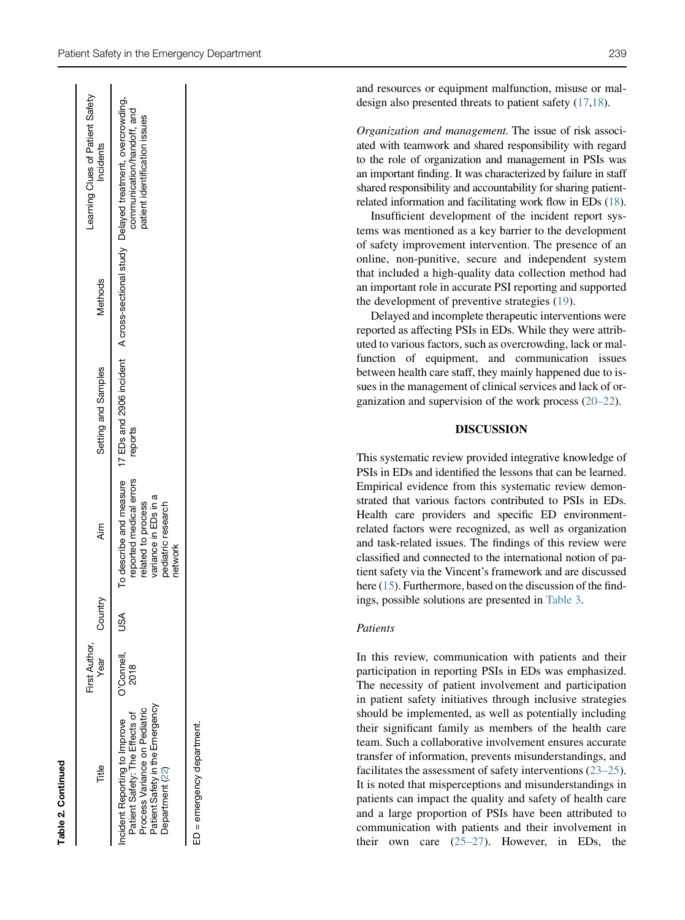|                                                                                                                                                      | First Author,             |         |                                                                                                        |                     |         | earning Clues of Patient Safety                                                                                                                                          |
|------------------------------------------------------------------------------------------------------------------------------------------------------|---------------------------|---------|--------------------------------------------------------------------------------------------------------|---------------------|---------|--------------------------------------------------------------------------------------------------------------------------------------------------------------------------|
| Title<br>E                                                                                                                                           | Year                      | Country | <b>Aim</b>                                                                                             | Setting and Samples | Methods | Incidents                                                                                                                                                                |
| Patient Safety in the Emergency<br>Process Variance on Pediatric<br>Patient Safety: The Effects of<br>cident Reporting to Improve<br>Department (22) | O'Connell,<br><b>2018</b> | SSD     | reported medical errors<br>variance in EDs in a<br>related to process<br>pediatric research<br>network | reports             |         | To describe and measure 17 EDs and 2906 incident A cross-sectional study Delayed treatment, overcrowding,<br>communication/handoff, and<br>patient identification issues |
| ED = emergency department.                                                                                                                           |                           |         |                                                                                                        |                     |         |                                                                                                                                                                          |

Table 2. Continued

Table 2. Continued

and resources or equipment malfunction, misuse or maldesign also presented threats to patient safety ([17,](#page-8-16)[18\)](#page-8-17).

Organization and management. The issue of risk associated with teamwork and shared responsibility with regard to the role of organization and management in PSIs was an important finding. It was characterized by failure in staff shared responsibility and accountability for sharing patientrelated information and facilitating work flow in EDs [\(18](#page-8-17)).

Insufficient development of the incident report systems was mentioned as a key barrier to the development of safety improvement intervention. The presence of an online, non-punitive, secure and independent system that included a high-quality data collection method had an important role in accurate PSI reporting and supported the development of preventive strategies ([19\)](#page-8-15).

Delayed and incomplete therapeutic interventions were reported as affecting PSIs in EDs. While they were attributed to various factors, such as overcrowding, lack or malfunction of equipment, and communication issues between health care staff, they mainly happened due to issues in the management of clinical services and lack of organization and supervision of the work process ([20–22](#page-8-19)).

#### DISCUSSION

This systematic review provided integrative knowledge of PSIs in EDs and identified the lessons that can be learned. Empirical evidence from this systematic review demonstrated that various factors contributed to PSIs in EDs. Health care providers and specific ED environmentrelated factors were recognized, as well as organization and task-related issues. The findings of this review were classified and connected to the international notion of patient safety via the Vincent's framework and are discussed here [\(15\)](#page-8-12). Furthermore, based on the discussion of the findings, possible solutions are presented in [Table 3.](#page-6-0)

#### Patients

In this review, communication with patients and their participation in reporting PSIs in EDs was emphasized. The necessity of patient involvement and participation in patient safety initiatives through inclusive strategies should be implemented, as well as potentially including their significant family as members of the health care team. Such a collaborative involvement ensures accurate transfer of information, prevents misunderstandings, and facilitates the assessment of safety interventions  $(23-25)$ . It is noted that misperceptions and misunderstandings in patients can impact the quality and safety of health care and a large proportion of PSIs have been attributed to communication with patients and their involvement in their own care  $(25-27)$ . However, in EDs, the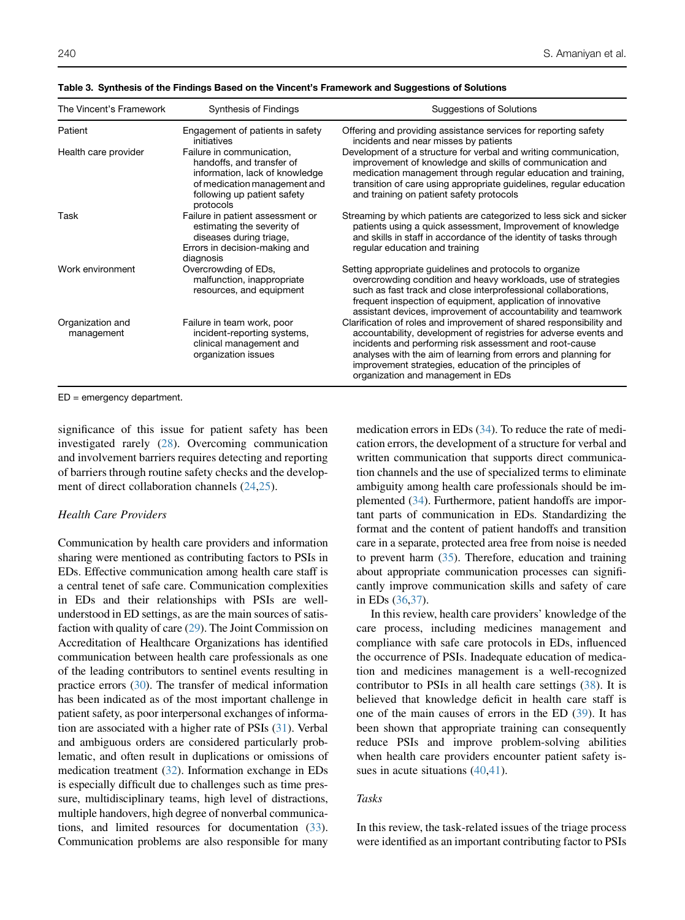| The Vincent's Framework        | Synthesis of Findings                                                                                                                                                | <b>Suggestions of Solutions</b>                                                                                                                                                                                                                                                                                                                                      |
|--------------------------------|----------------------------------------------------------------------------------------------------------------------------------------------------------------------|----------------------------------------------------------------------------------------------------------------------------------------------------------------------------------------------------------------------------------------------------------------------------------------------------------------------------------------------------------------------|
| Patient                        | Engagement of patients in safety<br>initiatives                                                                                                                      | Offering and providing assistance services for reporting safety<br>incidents and near misses by patients                                                                                                                                                                                                                                                             |
| Health care provider           | Failure in communication,<br>handoffs, and transfer of<br>information, lack of knowledge<br>of medication management and<br>following up patient safety<br>protocols | Development of a structure for verbal and writing communication,<br>improvement of knowledge and skills of communication and<br>medication management through regular education and training,<br>transition of care using appropriate guidelines, regular education<br>and training on patient safety protocols                                                      |
| Task                           | Failure in patient assessment or<br>estimating the severity of<br>diseases during triage,<br>Errors in decision-making and<br>diagnosis                              | Streaming by which patients are categorized to less sick and sicker<br>patients using a quick assessment, Improvement of knowledge<br>and skills in staff in accordance of the identity of tasks through<br>regular education and training                                                                                                                           |
| Work environment               | Overcrowding of EDs,<br>malfunction, inappropriate<br>resources, and equipment                                                                                       | Setting appropriate guidelines and protocols to organize<br>overcrowding condition and heavy workloads, use of strategies<br>such as fast track and close interprofessional collaborations,<br>frequent inspection of equipment, application of innovative<br>assistant devices, improvement of accountability and teamwork                                          |
| Organization and<br>management | Failure in team work, poor<br>incident-reporting systems,<br>clinical management and<br>organization issues                                                          | Clarification of roles and improvement of shared responsibility and<br>accountability, development of registries for adverse events and<br>incidents and performing risk assessment and root-cause<br>analyses with the aim of learning from errors and planning for<br>improvement strategies, education of the principles of<br>organization and management in EDs |

<span id="page-6-0"></span>Table 3. Synthesis of the Findings Based on the Vincent's Framework and Suggestions of Solutions

ED = emergency department.

significance of this issue for patient safety has been investigated rarely ([28\)](#page-9-0). Overcoming communication and involvement barriers requires detecting and reporting of barriers through routine safety checks and the development of direct collaboration channels [\(24](#page-8-28),[25\)](#page-8-27).

#### Health Care Providers

Communication by health care providers and information sharing were mentioned as contributing factors to PSIs in EDs. Effective communication among health care staff is a central tenet of safe care. Communication complexities in EDs and their relationships with PSIs are wellunderstood in ED settings, as are the main sources of satisfaction with quality of care ([29](#page-9-1)). The Joint Commission on Accreditation of Healthcare Organizations has identified communication between health care professionals as one of the leading contributors to sentinel events resulting in practice errors ([30\)](#page-9-2). The transfer of medical information has been indicated as of the most important challenge in patient safety, as poor interpersonal exchanges of information are associated with a higher rate of PSIs [\(31\)](#page-9-3). Verbal and ambiguous orders are considered particularly problematic, and often result in duplications or omissions of medication treatment [\(32](#page-9-4)). Information exchange in EDs is especially difficult due to challenges such as time pressure, multidisciplinary teams, high level of distractions, multiple handovers, high degree of nonverbal communications, and limited resources for documentation ([33](#page-9-5)). Communication problems are also responsible for many medication errors in EDs [\(34](#page-9-6)). To reduce the rate of medication errors, the development of a structure for verbal and written communication that supports direct communication channels and the use of specialized terms to eliminate ambiguity among health care professionals should be implemented [\(34\)](#page-9-6). Furthermore, patient handoffs are important parts of communication in EDs. Standardizing the format and the content of patient handoffs and transition care in a separate, protected area free from noise is needed to prevent harm [\(35\)](#page-9-7). Therefore, education and training about appropriate communication processes can significantly improve communication skills and safety of care in EDs [\(36](#page-9-8)[,37](#page-9-9)).

In this review, health care providers' knowledge of the care process, including medicines management and compliance with safe care protocols in EDs, influenced the occurrence of PSIs. Inadequate education of medication and medicines management is a well-recognized contributor to PSIs in all health care settings [\(38](#page-9-10)). It is believed that knowledge deficit in health care staff is one of the main causes of errors in the ED ([39\)](#page-9-11). It has been shown that appropriate training can consequently reduce PSIs and improve problem-solving abilities when health care providers encounter patient safety issues in acute situations  $(40, 41)$  $(40, 41)$  $(40, 41)$ .

## Tasks

In this review, the task-related issues of the triage process were identified as an important contributing factor to PSIs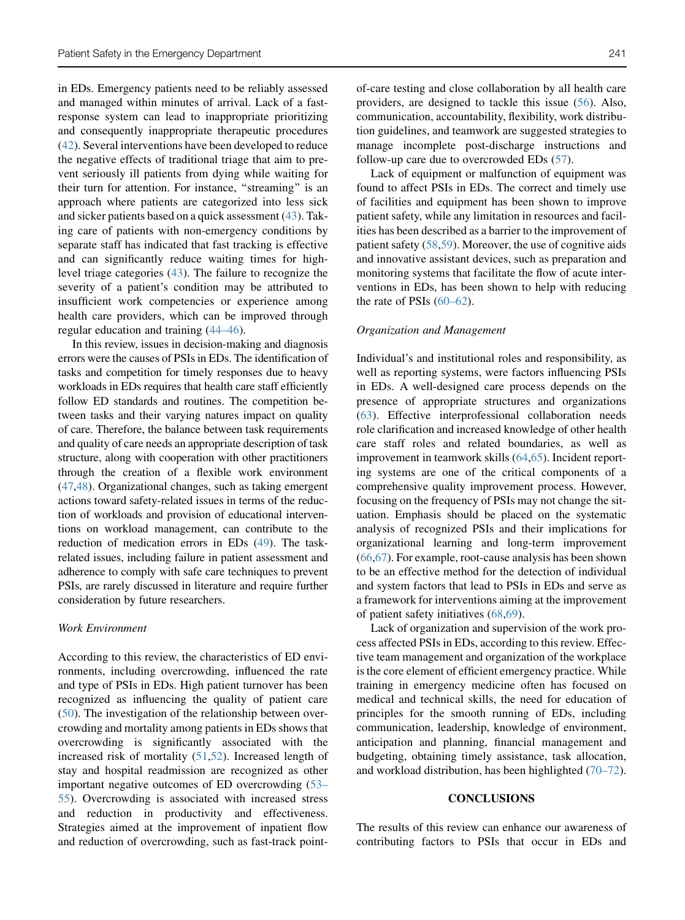in EDs. Emergency patients need to be reliably assessed and managed within minutes of arrival. Lack of a fastresponse system can lead to inappropriate prioritizing and consequently inappropriate therapeutic procedures [\(42](#page-9-14)). Several interventions have been developed to reduce the negative effects of traditional triage that aim to prevent seriously ill patients from dying while waiting for their turn for attention. For instance, ''streaming'' is an approach where patients are categorized into less sick and sicker patients based on a quick assessment [\(43](#page-9-15)). Taking care of patients with non-emergency conditions by separate staff has indicated that fast tracking is effective and can significantly reduce waiting times for highlevel triage categories [\(43](#page-9-15)). The failure to recognize the severity of a patient's condition may be attributed to insufficient work competencies or experience among health care providers, which can be improved through regular education and training [\(44–46](#page-9-16)).

In this review, issues in decision-making and diagnosis errors were the causes of PSIs in EDs. The identification of tasks and competition for timely responses due to heavy workloads in EDs requires that health care staff efficiently follow ED standards and routines. The competition between tasks and their varying natures impact on quality of care. Therefore, the balance between task requirements and quality of care needs an appropriate description of task structure, along with cooperation with other practitioners through the creation of a flexible work environment [\(47](#page-9-17)[,48](#page-9-18)). Organizational changes, such as taking emergent actions toward safety-related issues in terms of the reduction of workloads and provision of educational interventions on workload management, can contribute to the reduction of medication errors in EDs ([49](#page-9-19)). The taskrelated issues, including failure in patient assessment and adherence to comply with safe care techniques to prevent PSIs, are rarely discussed in literature and require further consideration by future researchers.

#### Work Environment

According to this review, the characteristics of ED environments, including overcrowding, influenced the rate and type of PSIs in EDs. High patient turnover has been recognized as influencing the quality of patient care [\(50](#page-9-20)). The investigation of the relationship between overcrowding and mortality among patients in EDs shows that overcrowding is significantly associated with the increased risk of mortality ([51](#page-9-21)[,52](#page-9-22)). Increased length of stay and hospital readmission are recognized as other important negative outcomes of ED overcrowding [\(53–](#page-9-23) [55\)](#page-9-23). Overcrowding is associated with increased stress and reduction in productivity and effectiveness. Strategies aimed at the improvement of inpatient flow and reduction of overcrowding, such as fast-track pointof-care testing and close collaboration by all health care providers, are designed to tackle this issue ([56\)](#page-9-24). Also, communication, accountability, flexibility, work distribution guidelines, and teamwork are suggested strategies to manage incomplete post-discharge instructions and follow-up care due to overcrowded EDs [\(57](#page-9-25)).

Lack of equipment or malfunction of equipment was found to affect PSIs in EDs. The correct and timely use of facilities and equipment has been shown to improve patient safety, while any limitation in resources and facilities has been described as a barrier to the improvement of patient safety ([58,](#page-9-26)[59\)](#page-9-27). Moreover, the use of cognitive aids and innovative assistant devices, such as preparation and monitoring systems that facilitate the flow of acute interventions in EDs, has been shown to help with reducing the rate of PSIs  $(60-62)$ .

#### Organization and Management

Individual's and institutional roles and responsibility, as well as reporting systems, were factors influencing PSIs in EDs. A well-designed care process depends on the presence of appropriate structures and organizations [\(63](#page-9-29)). Effective interprofessional collaboration needs role clarification and increased knowledge of other health care staff roles and related boundaries, as well as improvement in teamwork skills [\(64](#page-9-30),[65\)](#page-9-31). Incident reporting systems are one of the critical components of a comprehensive quality improvement process. However, focusing on the frequency of PSIs may not change the situation. Emphasis should be placed on the systematic analysis of recognized PSIs and their implications for organizational learning and long-term improvement [\(66](#page-9-32),[67\)](#page-9-33). For example, root-cause analysis has been shown to be an effective method for the detection of individual and system factors that lead to PSIs in EDs and serve as a framework for interventions aiming at the improvement of patient safety initiatives [\(68](#page-9-34),[69\)](#page-9-35).

Lack of organization and supervision of the work process affected PSIs in EDs, according to this review. Effective team management and organization of the workplace is the core element of efficient emergency practice. While training in emergency medicine often has focused on medical and technical skills, the need for education of principles for the smooth running of EDs, including communication, leadership, knowledge of environment, anticipation and planning, financial management and budgeting, obtaining timely assistance, task allocation, and workload distribution, has been highlighted [\(70–72](#page-9-36)).

#### **CONCLUSIONS**

The results of this review can enhance our awareness of contributing factors to PSIs that occur in EDs and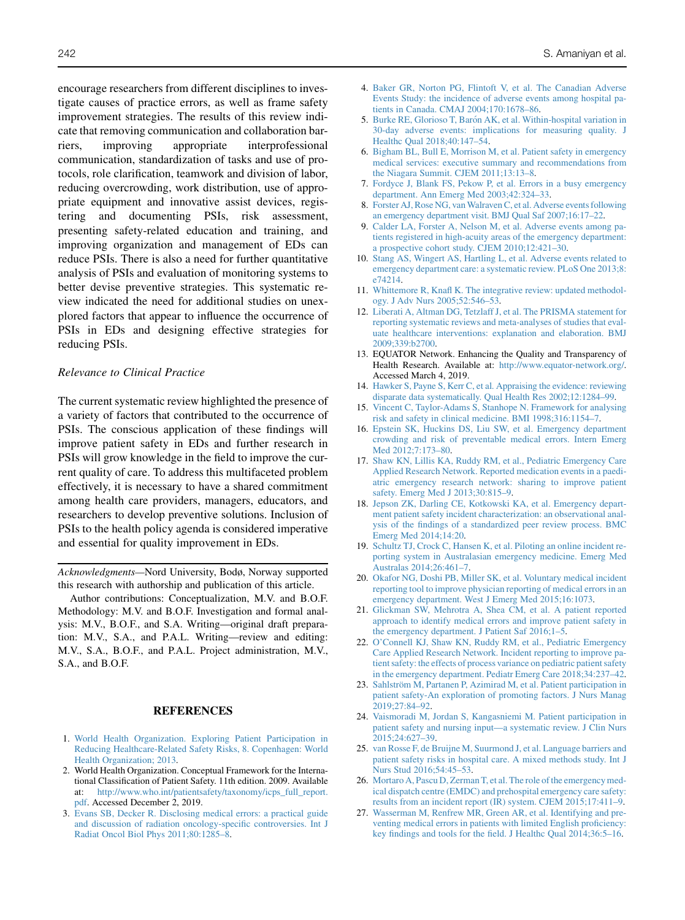encourage researchers from different disciplines to investigate causes of practice errors, as well as frame safety improvement strategies. The results of this review indicate that removing communication and collaboration barriers, improving appropriate interprofessional communication, standardization of tasks and use of protocols, role clarification, teamwork and division of labor, reducing overcrowding, work distribution, use of appropriate equipment and innovative assist devices, registering and documenting PSIs, risk assessment, presenting safety-related education and training, and improving organization and management of EDs can reduce PSIs. There is also a need for further quantitative analysis of PSIs and evaluation of monitoring systems to better devise preventive strategies. This systematic review indicated the need for additional studies on unexplored factors that appear to influence the occurrence of PSIs in EDs and designing effective strategies for reducing PSIs.

#### Relevance to Clinical Practice

The current systematic review highlighted the presence of a variety of factors that contributed to the occurrence of PSIs. The conscious application of these findings will improve patient safety in EDs and further research in PSIs will grow knowledge in the field to improve the current quality of care. To address this multifaceted problem effectively, it is necessary to have a shared commitment among health care providers, managers, educators, and researchers to develop preventive solutions. Inclusion of PSIs to the health policy agenda is considered imperative and essential for quality improvement in EDs.

Acknowledgments—Nord University, Bodø, Norway supported this research with authorship and publication of this article.

Author contributions: Conceptualization, M.V. and B.O.F. Methodology: M.V. and B.O.F. Investigation and formal analysis: M.V., B.O.F., and S.A. Writing—original draft preparation: M.V., S.A., and P.A.L. Writing—review and editing: M.V., S.A., B.O.F., and P.A.L. Project administration, M.V., S.A., and B.O.F.

#### **REFERENCES**

- <span id="page-8-0"></span>1. [World Health Organization. Exploring Patient Participation in](http://refhub.elsevier.com/S0736-4679(19)31012-1/sref1) [Reducing Healthcare-Related Safety Risks, 8. Copenhagen: World](http://refhub.elsevier.com/S0736-4679(19)31012-1/sref1) [Health Organization; 2013](http://refhub.elsevier.com/S0736-4679(19)31012-1/sref1).
- <span id="page-8-1"></span>2. World Health Organization. Conceptual Framework for the International Classification of Patient Safety. 11th edition. 2009. Available at: [http://www.who.int/patientsafety/taxonomy/icps\\_full\\_report.](http://www.who.int/patientsafety/taxonomy/icps_full_report.pdf) [pdf](http://www.who.int/patientsafety/taxonomy/icps_full_report.pdf). Accessed December 2, 2019.
- <span id="page-8-2"></span>3. [Evans SB, Decker R. Disclosing medical errors: a practical guide](http://refhub.elsevier.com/S0736-4679(19)31012-1/sref3) [and discussion of radiation oncology-specific controversies. Int J](http://refhub.elsevier.com/S0736-4679(19)31012-1/sref3) [Radiat Oncol Biol Phys 2011;80:1285–8](http://refhub.elsevier.com/S0736-4679(19)31012-1/sref3).
- <span id="page-8-3"></span>4. [Baker GR, Norton PG, Flintoft V, et al. The Canadian Adverse](http://refhub.elsevier.com/S0736-4679(19)31012-1/sref4) [Events Study: the incidence of adverse events among hospital pa](http://refhub.elsevier.com/S0736-4679(19)31012-1/sref4)[tients in Canada. CMAJ 2004;170:1678–86](http://refhub.elsevier.com/S0736-4679(19)31012-1/sref4).
- <span id="page-8-4"></span>5. Burke RE, Glorioso T, Barón AK, et al. Within-hospital variation in [30-day adverse events: implications for measuring quality. J](http://refhub.elsevier.com/S0736-4679(19)31012-1/sref5) [Healthc Qual 2018;40:147–54.](http://refhub.elsevier.com/S0736-4679(19)31012-1/sref5)
- <span id="page-8-5"></span>6. [Bigham BL, Bull E, Morrison M, et al. Patient safety in emergency](http://refhub.elsevier.com/S0736-4679(19)31012-1/sref6) [medical services: executive summary and recommendations from](http://refhub.elsevier.com/S0736-4679(19)31012-1/sref6) [the Niagara Summit. CJEM 2011;13:13–8](http://refhub.elsevier.com/S0736-4679(19)31012-1/sref6).
- <span id="page-8-6"></span>7. [Fordyce J, Blank FS, Pekow P, et al. Errors in a busy emergency](http://refhub.elsevier.com/S0736-4679(19)31012-1/sref7) [department. Ann Emerg Med 2003;42:324–33](http://refhub.elsevier.com/S0736-4679(19)31012-1/sref7).
- <span id="page-8-7"></span>8. Forster AJ, Rose NG, van Walraven C, et al. Adverse events following [an emergency department visit. BMJ Qual Saf 2007;16:17–22](http://refhub.elsevier.com/S0736-4679(19)31012-1/sref8).
- 9. [Calder LA, Forster A, Nelson M, et al. Adverse events among pa](http://refhub.elsevier.com/S0736-4679(19)31012-1/sref9)[tients registered in high-acuity areas of the emergency department:](http://refhub.elsevier.com/S0736-4679(19)31012-1/sref9) [a prospective cohort study. CJEM 2010;12:421–30](http://refhub.elsevier.com/S0736-4679(19)31012-1/sref9).
- 10. [Stang AS, Wingert AS, Hartling L, et al. Adverse events related to](http://refhub.elsevier.com/S0736-4679(19)31012-1/sref10) [emergency department care: a systematic review. PLoS One 2013;8:](http://refhub.elsevier.com/S0736-4679(19)31012-1/sref10) [e74214](http://refhub.elsevier.com/S0736-4679(19)31012-1/sref10).
- <span id="page-8-8"></span>11. [Whittemore R, Knafl K. The integrative review: updated methodol](http://refhub.elsevier.com/S0736-4679(19)31012-1/sref11)[ogy. J Adv Nurs 2005;52:546–53.](http://refhub.elsevier.com/S0736-4679(19)31012-1/sref11)
- <span id="page-8-9"></span>12. [Liberati A, Altman DG, Tetzlaff J, et al. The PRISMA statement for](http://refhub.elsevier.com/S0736-4679(19)31012-1/sref12) [reporting systematic reviews and meta-analyses of studies that eval](http://refhub.elsevier.com/S0736-4679(19)31012-1/sref12)[uate healthcare interventions: explanation and elaboration. BMJ](http://refhub.elsevier.com/S0736-4679(19)31012-1/sref12) [2009;339:b2700.](http://refhub.elsevier.com/S0736-4679(19)31012-1/sref12)
- <span id="page-8-25"></span><span id="page-8-24"></span><span id="page-8-23"></span><span id="page-8-22"></span><span id="page-8-21"></span><span id="page-8-20"></span><span id="page-8-10"></span>13. EQUATOR Network. Enhancing the Quality and Transparency of Health Research. Available at: <http://www.equator-network.org/>. Accessed March 4, 2019.
- <span id="page-8-11"></span>14. [Hawker S, Payne S, Kerr C, et al. Appraising the evidence: reviewing](http://refhub.elsevier.com/S0736-4679(19)31012-1/sref14) [disparate data systematically. Qual Health Res 2002;12:1284–99.](http://refhub.elsevier.com/S0736-4679(19)31012-1/sref14)
- <span id="page-8-12"></span>15. [Vincent C, Taylor-Adams S, Stanhope N. Framework for analysing](http://refhub.elsevier.com/S0736-4679(19)31012-1/sref15) [risk and safety in clinical medicine. BMI 1998;316:1154–7.](http://refhub.elsevier.com/S0736-4679(19)31012-1/sref15)
- <span id="page-8-13"></span>16. [Epstein SK, Huckins DS, Liu SW, et al. Emergency department](http://refhub.elsevier.com/S0736-4679(19)31012-1/sref16) [crowding and risk of preventable medical errors. Intern Emerg](http://refhub.elsevier.com/S0736-4679(19)31012-1/sref16) [Med 2012;7:173–80.](http://refhub.elsevier.com/S0736-4679(19)31012-1/sref16)
- <span id="page-8-16"></span>17. [Shaw KN, Lillis KA, Ruddy RM, et al., Pediatric Emergency Care](http://refhub.elsevier.com/S0736-4679(19)31012-1/sref17) [Applied Research Network. Reported medication events in a paedi](http://refhub.elsevier.com/S0736-4679(19)31012-1/sref17)[atric emergency research network: sharing to improve patient](http://refhub.elsevier.com/S0736-4679(19)31012-1/sref17) [safety. Emerg Med J 2013;30:815–9](http://refhub.elsevier.com/S0736-4679(19)31012-1/sref17).
- <span id="page-8-17"></span>18. [Jepson ZK, Darling CE, Kotkowski KA, et al. Emergency depart](http://refhub.elsevier.com/S0736-4679(19)31012-1/sref18)[ment patient safety incident characterization: an observational anal](http://refhub.elsevier.com/S0736-4679(19)31012-1/sref18)[ysis of the findings of a standardized peer review process. BMC](http://refhub.elsevier.com/S0736-4679(19)31012-1/sref18) [Emerg Med 2014;14:20](http://refhub.elsevier.com/S0736-4679(19)31012-1/sref18).
- <span id="page-8-15"></span>19. [Schultz TJ, Crock C, Hansen K, et al. Piloting an online incident re](http://refhub.elsevier.com/S0736-4679(19)31012-1/sref19)[porting system in Australasian emergency medicine. Emerg Med](http://refhub.elsevier.com/S0736-4679(19)31012-1/sref19) [Australas 2014;26:461–7](http://refhub.elsevier.com/S0736-4679(19)31012-1/sref19).
- <span id="page-8-19"></span>20. [Okafor NG, Doshi PB, Miller SK, et al. Voluntary medical incident](http://refhub.elsevier.com/S0736-4679(19)31012-1/sref20) [reporting tool to improve physician reporting of medical errors in an](http://refhub.elsevier.com/S0736-4679(19)31012-1/sref20) [emergency department. West J Emerg Med 2015;16:1073.](http://refhub.elsevier.com/S0736-4679(19)31012-1/sref20)
- <span id="page-8-18"></span>21. [Glickman SW, Mehrotra A, Shea CM, et al. A patient reported](http://refhub.elsevier.com/S0736-4679(19)31012-1/sref21) [approach to identify medical errors and improve patient safety in](http://refhub.elsevier.com/S0736-4679(19)31012-1/sref21) [the emergency department. J Patient Saf 2016;1–5](http://refhub.elsevier.com/S0736-4679(19)31012-1/sref21).
- <span id="page-8-14"></span>22. [O'Connell KJ, Shaw KN, Ruddy RM, et al., Pediatric Emergency](http://refhub.elsevier.com/S0736-4679(19)31012-1/sref22) [Care Applied Research Network. Incident reporting to improve pa](http://refhub.elsevier.com/S0736-4679(19)31012-1/sref22)[tient safety: the effects of process variance on pediatric patient safety](http://refhub.elsevier.com/S0736-4679(19)31012-1/sref22) [in the emergency department. Pediatr Emerg Care 2018;34:237–42](http://refhub.elsevier.com/S0736-4679(19)31012-1/sref22).
- <span id="page-8-26"></span>23. Sahlström M, Partanen P, Azimirad M, et al. Patient participation in [patient safety-An exploration of promoting factors. J Nurs Manag](http://refhub.elsevier.com/S0736-4679(19)31012-1/sref23) [2019;27:84–92.](http://refhub.elsevier.com/S0736-4679(19)31012-1/sref23)
- <span id="page-8-28"></span>24. [Vaismoradi M, Jordan S, Kangasniemi M. Patient participation in](http://refhub.elsevier.com/S0736-4679(19)31012-1/sref24) [patient safety and nursing input—a systematic review. J Clin Nurs](http://refhub.elsevier.com/S0736-4679(19)31012-1/sref24) [2015;24:627–39.](http://refhub.elsevier.com/S0736-4679(19)31012-1/sref24)
- <span id="page-8-27"></span>25. [van Rosse F, de Bruijne M, Suurmond J, et al. Language barriers and](http://refhub.elsevier.com/S0736-4679(19)31012-1/sref25) [patient safety risks in hospital care. A mixed methods study. Int J](http://refhub.elsevier.com/S0736-4679(19)31012-1/sref25) [Nurs Stud 2016;54:45–53](http://refhub.elsevier.com/S0736-4679(19)31012-1/sref25).
- 26. [Mortaro A, Pascu D, Zerman T, et al. The role of the emergency med](http://refhub.elsevier.com/S0736-4679(19)31012-1/sref26)[ical dispatch centre \(EMDC\) and prehospital emergency care safety:](http://refhub.elsevier.com/S0736-4679(19)31012-1/sref26) [results from an incident report \(IR\) system. CJEM 2015;17:411–9](http://refhub.elsevier.com/S0736-4679(19)31012-1/sref26).
- 27. [Wasserman M, Renfrew MR, Green AR, et al. Identifying and pre](http://refhub.elsevier.com/S0736-4679(19)31012-1/sref27)[venting medical errors in patients with limited English proficiency:](http://refhub.elsevier.com/S0736-4679(19)31012-1/sref27) [key findings and tools for the field. J Healthc Qual 2014;36:5–16.](http://refhub.elsevier.com/S0736-4679(19)31012-1/sref27)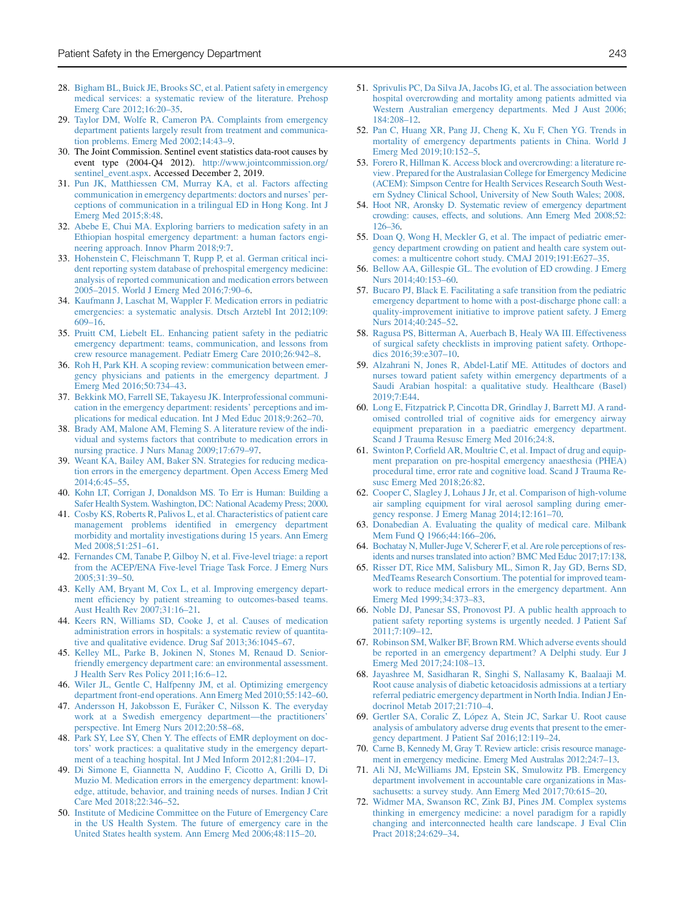- <span id="page-9-0"></span>28. [Bigham BL, Buick JE, Brooks SC, et al. Patient safety in emergency](http://refhub.elsevier.com/S0736-4679(19)31012-1/sref28) [medical services: a systematic review of the literature. Prehosp](http://refhub.elsevier.com/S0736-4679(19)31012-1/sref28) [Emerg Care 2012;16:20–35.](http://refhub.elsevier.com/S0736-4679(19)31012-1/sref28)
- <span id="page-9-1"></span>29. [Taylor DM, Wolfe R, Cameron PA. Complaints from emergency](http://refhub.elsevier.com/S0736-4679(19)31012-1/sref29) [department patients largely result from treatment and communica](http://refhub.elsevier.com/S0736-4679(19)31012-1/sref29)[tion problems. Emerg Med 2002;14:43–9.](http://refhub.elsevier.com/S0736-4679(19)31012-1/sref29)
- <span id="page-9-2"></span>30. The Joint Commission. Sentinel event statistics data-root causes by event type (2004-Q4 2012). [http://www.jointcommission.org/](http://www.jointcommission.org/sentinel_event.aspx) [sentinel\\_event.aspx](http://www.jointcommission.org/sentinel_event.aspx). Accessed December 2, 2019.
- <span id="page-9-3"></span>31. [Pun JK, Matthiessen CM, Murray KA, et al. Factors affecting](http://refhub.elsevier.com/S0736-4679(19)31012-1/sref31) [communication in emergency departments: doctors and nurses' per](http://refhub.elsevier.com/S0736-4679(19)31012-1/sref31)[ceptions of communication in a trilingual ED in Hong Kong. Int J](http://refhub.elsevier.com/S0736-4679(19)31012-1/sref31) [Emerg Med 2015;8:48](http://refhub.elsevier.com/S0736-4679(19)31012-1/sref31).
- <span id="page-9-4"></span>32. [Abebe E, Chui MA. Exploring barriers to medication safety in an](http://refhub.elsevier.com/S0736-4679(19)31012-1/sref32) [Ethiopian hospital emergency department: a human factors engi](http://refhub.elsevier.com/S0736-4679(19)31012-1/sref32)[neering approach. Innov Pharm 2018;9:7](http://refhub.elsevier.com/S0736-4679(19)31012-1/sref32).
- <span id="page-9-5"></span>33. [Hohenstein C, Fleischmann T, Rupp P, et al. German critical inci](http://refhub.elsevier.com/S0736-4679(19)31012-1/sref33)[dent reporting system database of prehospital emergency medicine:](http://refhub.elsevier.com/S0736-4679(19)31012-1/sref33) [analysis of reported communication and medication errors between](http://refhub.elsevier.com/S0736-4679(19)31012-1/sref33) [2005–2015. World J Emerg Med 2016;7:90–6](http://refhub.elsevier.com/S0736-4679(19)31012-1/sref33).
- <span id="page-9-6"></span>34. [Kaufmann J, Laschat M, Wappler F. Medication errors in pediatric](http://refhub.elsevier.com/S0736-4679(19)31012-1/sref34) [emergencies: a systematic analysis. Dtsch Arztebl Int 2012;109:](http://refhub.elsevier.com/S0736-4679(19)31012-1/sref34) [609–16](http://refhub.elsevier.com/S0736-4679(19)31012-1/sref34).
- <span id="page-9-7"></span>35. [Pruitt CM, Liebelt EL. Enhancing patient safety in the pediatric](http://refhub.elsevier.com/S0736-4679(19)31012-1/sref35) [emergency department: teams, communication, and lessons from](http://refhub.elsevier.com/S0736-4679(19)31012-1/sref35) [crew resource management. Pediatr Emerg Care 2010;26:942–8](http://refhub.elsevier.com/S0736-4679(19)31012-1/sref35).
- <span id="page-9-8"></span>36. [Roh H, Park KH. A scoping review: communication between emer](http://refhub.elsevier.com/S0736-4679(19)31012-1/sref36)[gency physicians and patients in the emergency department. J](http://refhub.elsevier.com/S0736-4679(19)31012-1/sref36) [Emerg Med 2016;50:734–43.](http://refhub.elsevier.com/S0736-4679(19)31012-1/sref36)
- <span id="page-9-9"></span>37. [Bekkink MO, Farrell SE, Takayesu JK. Interprofessional communi](http://refhub.elsevier.com/S0736-4679(19)31012-1/sref37)[cation in the emergency department: residents' perceptions and im](http://refhub.elsevier.com/S0736-4679(19)31012-1/sref37)[plications for medical education. Int J Med Educ 2018;9:262–70](http://refhub.elsevier.com/S0736-4679(19)31012-1/sref37).
- <span id="page-9-10"></span>38. [Brady AM, Malone AM, Fleming S. A literature review of the indi](http://refhub.elsevier.com/S0736-4679(19)31012-1/sref38)[vidual and systems factors that contribute to medication errors in](http://refhub.elsevier.com/S0736-4679(19)31012-1/sref38) [nursing practice. J Nurs Manag 2009;17:679–97.](http://refhub.elsevier.com/S0736-4679(19)31012-1/sref38)
- <span id="page-9-11"></span>39. [Weant KA, Bailey AM, Baker SN. Strategies for reducing medica](http://refhub.elsevier.com/S0736-4679(19)31012-1/sref39)[tion errors in the emergency department. Open Access Emerg Med](http://refhub.elsevier.com/S0736-4679(19)31012-1/sref39) [2014;6:45–55.](http://refhub.elsevier.com/S0736-4679(19)31012-1/sref39)
- <span id="page-9-12"></span>40. [Kohn LT, Corrigan J, Donaldson MS. To Err is Human: Building a](http://refhub.elsevier.com/S0736-4679(19)31012-1/sref40) [Safer Health System. Washington, DC: National Academy Press; 2000](http://refhub.elsevier.com/S0736-4679(19)31012-1/sref40).
- <span id="page-9-13"></span>41. [Cosby KS, Roberts R, Palivos L, et al. Characteristics of patient care](http://refhub.elsevier.com/S0736-4679(19)31012-1/sref41) [management problems identified in emergency department](http://refhub.elsevier.com/S0736-4679(19)31012-1/sref41) [morbidity and mortality investigations during 15 years. Ann Emerg](http://refhub.elsevier.com/S0736-4679(19)31012-1/sref41) [Med 2008;51:251–61.](http://refhub.elsevier.com/S0736-4679(19)31012-1/sref41)
- <span id="page-9-14"></span>42. [Fernandes CM, Tanabe P, Gilboy N, et al. Five-level triage: a report](http://refhub.elsevier.com/S0736-4679(19)31012-1/sref42) [from the ACEP/ENA Five-level Triage Task Force. J Emerg Nurs](http://refhub.elsevier.com/S0736-4679(19)31012-1/sref42) [2005;31:39–50.](http://refhub.elsevier.com/S0736-4679(19)31012-1/sref42)
- <span id="page-9-15"></span>43. [Kelly AM, Bryant M, Cox L, et al. Improving emergency depart](http://refhub.elsevier.com/S0736-4679(19)31012-1/sref43)[ment efficiency by patient streaming to outcomes-based teams.](http://refhub.elsevier.com/S0736-4679(19)31012-1/sref43) [Aust Health Rev 2007;31:16–21](http://refhub.elsevier.com/S0736-4679(19)31012-1/sref43).
- <span id="page-9-16"></span>44. [Keers RN, Williams SD, Cooke J, et al. Causes of medication](http://refhub.elsevier.com/S0736-4679(19)31012-1/sref44) [administration errors in hospitals: a systematic review of quantita](http://refhub.elsevier.com/S0736-4679(19)31012-1/sref44)[tive and qualitative evidence. Drug Saf 2013;36:1045–67](http://refhub.elsevier.com/S0736-4679(19)31012-1/sref44).
- 45. [Kelley ML, Parke B, Jokinen N, Stones M, Renaud D. Senior](http://refhub.elsevier.com/S0736-4679(19)31012-1/sref45)[friendly emergency department care: an environmental assessment.](http://refhub.elsevier.com/S0736-4679(19)31012-1/sref45) [J Health Serv Res Policy 2011;16:6–12](http://refhub.elsevier.com/S0736-4679(19)31012-1/sref45).
- 46. [Wiler JL, Gentle C, Halfpenny JM, et al. Optimizing emergency](http://refhub.elsevier.com/S0736-4679(19)31012-1/sref46) [department front-end operations. Ann Emerg Med 2010;55:142–60](http://refhub.elsevier.com/S0736-4679(19)31012-1/sref46).
- <span id="page-9-17"></span>47. Andersson H, Jakobsson E, Furåker C, Nilsson K. The everyday [work at a Swedish emergency department—the practitioners'](http://refhub.elsevier.com/S0736-4679(19)31012-1/sref47) [perspective. Int Emerg Nurs 2012;20:58–68](http://refhub.elsevier.com/S0736-4679(19)31012-1/sref47).
- <span id="page-9-18"></span>48. [Park SY, Lee SY, Chen Y. The effects of EMR deployment on doc](http://refhub.elsevier.com/S0736-4679(19)31012-1/sref48)[tors' work practices: a qualitative study in the emergency depart](http://refhub.elsevier.com/S0736-4679(19)31012-1/sref48)[ment of a teaching hospital. Int J Med Inform 2012;81:204–17.](http://refhub.elsevier.com/S0736-4679(19)31012-1/sref48)
- <span id="page-9-19"></span>49. [Di Simone E, Giannetta N, Auddino F, Cicotto A, Grilli D, Di](http://refhub.elsevier.com/S0736-4679(19)31012-1/sref49) [Muzio M. Medication errors in the emergency department: knowl](http://refhub.elsevier.com/S0736-4679(19)31012-1/sref49)[edge, attitude, behavior, and training needs of nurses. Indian J Crit](http://refhub.elsevier.com/S0736-4679(19)31012-1/sref49) [Care Med 2018;22:346–52.](http://refhub.elsevier.com/S0736-4679(19)31012-1/sref49)
- <span id="page-9-20"></span>50. [Institute of Medicine Committee on the Future of Emergency Care](http://refhub.elsevier.com/S0736-4679(19)31012-1/sref50) [in the US Health System. The future of emergency care in the](http://refhub.elsevier.com/S0736-4679(19)31012-1/sref50) [United States health system. Ann Emerg Med 2006;48:115–20](http://refhub.elsevier.com/S0736-4679(19)31012-1/sref50).
- <span id="page-9-21"></span>51. [Sprivulis PC, Da Silva JA, Jacobs IG, et al. The association between](http://refhub.elsevier.com/S0736-4679(19)31012-1/sref51) [hospital overcrowding and mortality among patients admitted via](http://refhub.elsevier.com/S0736-4679(19)31012-1/sref51) [Western Australian emergency departments. Med J Aust 2006;](http://refhub.elsevier.com/S0736-4679(19)31012-1/sref51) [184:208–12.](http://refhub.elsevier.com/S0736-4679(19)31012-1/sref51)
- <span id="page-9-22"></span>52. [Pan C, Huang XR, Pang JJ, Cheng K, Xu F, Chen YG. Trends in](http://refhub.elsevier.com/S0736-4679(19)31012-1/sref52) [mortality of emergency departments patients in China. World J](http://refhub.elsevier.com/S0736-4679(19)31012-1/sref52) [Emerg Med 2019;10:152–5](http://refhub.elsevier.com/S0736-4679(19)31012-1/sref52).
- <span id="page-9-23"></span>53. [Forero R, Hillman K. Access block and overcrowding: a literature re](http://refhub.elsevier.com/S0736-4679(19)31012-1/sref53)[view. Prepared for the Australasian College for Emergency Medicine](http://refhub.elsevier.com/S0736-4679(19)31012-1/sref53) [\(ACEM\): Simpson Centre for Health Services Research South West](http://refhub.elsevier.com/S0736-4679(19)31012-1/sref53)[ern Sydney Clinical School, University of New South Wales; 2008.](http://refhub.elsevier.com/S0736-4679(19)31012-1/sref53)
- 54. [Hoot NR, Aronsky D. Systematic review of emergency department](http://refhub.elsevier.com/S0736-4679(19)31012-1/sref54) [crowding: causes, effects, and solutions. Ann Emerg Med 2008;52:](http://refhub.elsevier.com/S0736-4679(19)31012-1/sref54) [126–36](http://refhub.elsevier.com/S0736-4679(19)31012-1/sref54).
- 55. [Doan Q, Wong H, Meckler G, et al. The impact of pediatric emer](http://refhub.elsevier.com/S0736-4679(19)31012-1/sref55)[gency department crowding on patient and health care system out](http://refhub.elsevier.com/S0736-4679(19)31012-1/sref55)[comes: a multicentre cohort study. CMAJ 2019;191:E627–35.](http://refhub.elsevier.com/S0736-4679(19)31012-1/sref55)
- <span id="page-9-24"></span>56. [Bellow AA, Gillespie GL. The evolution of ED crowding. J Emerg](http://refhub.elsevier.com/S0736-4679(19)31012-1/sref56) [Nurs 2014;40:153–60](http://refhub.elsevier.com/S0736-4679(19)31012-1/sref56).
- <span id="page-9-25"></span>57. [Bucaro PJ, Black E. Facilitating a safe transition from the pediatric](http://refhub.elsevier.com/S0736-4679(19)31012-1/sref57) [emergency department to home with a post-discharge phone call: a](http://refhub.elsevier.com/S0736-4679(19)31012-1/sref57) [quality-improvement initiative to improve patient safety. J Emerg](http://refhub.elsevier.com/S0736-4679(19)31012-1/sref57) [Nurs 2014;40:245–52](http://refhub.elsevier.com/S0736-4679(19)31012-1/sref57).
- <span id="page-9-26"></span>58. [Ragusa PS, Bitterman A, Auerbach B, Healy WA III. Effectiveness](http://refhub.elsevier.com/S0736-4679(19)31012-1/sref58) [of surgical safety checklists in improving patient safety. Orthope](http://refhub.elsevier.com/S0736-4679(19)31012-1/sref58)[dics 2016;39:e307–10](http://refhub.elsevier.com/S0736-4679(19)31012-1/sref58).
- <span id="page-9-27"></span>59. [Alzahrani N, Jones R, Abdel-Latif ME. Attitudes of doctors and](http://refhub.elsevier.com/S0736-4679(19)31012-1/sref59) [nurses toward patient safety within emergency departments of a](http://refhub.elsevier.com/S0736-4679(19)31012-1/sref59) [Saudi Arabian hospital: a qualitative study. Healthcare \(Basel\)](http://refhub.elsevier.com/S0736-4679(19)31012-1/sref59) [2019;7:E44.](http://refhub.elsevier.com/S0736-4679(19)31012-1/sref59)
- <span id="page-9-28"></span>60. [Long E, Fitzpatrick P, Cincotta DR, Grindlay J, Barrett MJ. A rand](http://refhub.elsevier.com/S0736-4679(19)31012-1/sref60)[omised controlled trial of cognitive aids for emergency airway](http://refhub.elsevier.com/S0736-4679(19)31012-1/sref60) [equipment preparation in a paediatric emergency department.](http://refhub.elsevier.com/S0736-4679(19)31012-1/sref60) [Scand J Trauma Resusc Emerg Med 2016;24:8.](http://refhub.elsevier.com/S0736-4679(19)31012-1/sref60)
- 61. [Swinton P, Corfield AR, Moultrie C, et al. Impact of drug and equip](http://refhub.elsevier.com/S0736-4679(19)31012-1/sref61)[ment preparation on pre-hospital emergency anaesthesia \(PHEA\)](http://refhub.elsevier.com/S0736-4679(19)31012-1/sref61) [procedural time, error rate and cognitive load. Scand J Trauma Re](http://refhub.elsevier.com/S0736-4679(19)31012-1/sref61)[susc Emerg Med 2018;26:82](http://refhub.elsevier.com/S0736-4679(19)31012-1/sref61).
- 62. [Cooper C, Slagley J, Lohaus J Jr, et al. Comparison of high-volume](http://refhub.elsevier.com/S0736-4679(19)31012-1/sref62) [air sampling equipment for viral aerosol sampling during emer](http://refhub.elsevier.com/S0736-4679(19)31012-1/sref62)[gency response. J Emerg Manag 2014;12:161–70](http://refhub.elsevier.com/S0736-4679(19)31012-1/sref62).
- <span id="page-9-29"></span>63. [Donabedian A. Evaluating the quality of medical care. Milbank](http://refhub.elsevier.com/S0736-4679(19)31012-1/sref63) [Mem Fund Q 1966;44:166–206](http://refhub.elsevier.com/S0736-4679(19)31012-1/sref63).
- <span id="page-9-30"></span>64. [Bochatay N, Muller-Juge V, Scherer F, et al. Are role perceptions of res](http://refhub.elsevier.com/S0736-4679(19)31012-1/sref64)[idents and nurses translated into action? BMC Med Educ 2017;17:138](http://refhub.elsevier.com/S0736-4679(19)31012-1/sref64).
- <span id="page-9-31"></span>65. [Risser DT, Rice MM, Salisbury ML, Simon R, Jay GD, Berns SD,](http://refhub.elsevier.com/S0736-4679(19)31012-1/sref65) [MedTeams Research Consortium. The potential for improved team](http://refhub.elsevier.com/S0736-4679(19)31012-1/sref65)[work to reduce medical errors in the emergency department. Ann](http://refhub.elsevier.com/S0736-4679(19)31012-1/sref65) [Emerg Med 1999;34:373–83](http://refhub.elsevier.com/S0736-4679(19)31012-1/sref65).
- <span id="page-9-32"></span>66. [Noble DJ, Panesar SS, Pronovost PJ. A public health approach to](http://refhub.elsevier.com/S0736-4679(19)31012-1/sref66) [patient safety reporting systems is urgently needed. J Patient Saf](http://refhub.elsevier.com/S0736-4679(19)31012-1/sref66) [2011;7:109–12.](http://refhub.elsevier.com/S0736-4679(19)31012-1/sref66)
- <span id="page-9-33"></span>67. [Robinson SM, Walker BF, Brown RM. Which adverse events should](http://refhub.elsevier.com/S0736-4679(19)31012-1/sref67) [be reported in an emergency department? A Delphi study. Eur J](http://refhub.elsevier.com/S0736-4679(19)31012-1/sref67) [Emerg Med 2017;24:108–13](http://refhub.elsevier.com/S0736-4679(19)31012-1/sref67).
- <span id="page-9-34"></span>68. [Jayashree M, Sasidharan R, Singhi S, Nallasamy K, Baalaaji M.](http://refhub.elsevier.com/S0736-4679(19)31012-1/sref68) [Root cause analysis of diabetic ketoacidosis admissions at a tertiary](http://refhub.elsevier.com/S0736-4679(19)31012-1/sref68) [referral pediatric emergency department in North India. Indian J En](http://refhub.elsevier.com/S0736-4679(19)31012-1/sref68)[docrinol Metab 2017;21:710–4](http://refhub.elsevier.com/S0736-4679(19)31012-1/sref68).
- <span id="page-9-35"></span>69. Gertler SA, Coralic Z, López A, Stein JC, Sarkar U. Root cause [analysis of ambulatory adverse drug events that present to the emer](http://refhub.elsevier.com/S0736-4679(19)31012-1/sref69)[gency department. J Patient Saf 2016;12:119–24.](http://refhub.elsevier.com/S0736-4679(19)31012-1/sref69)
- <span id="page-9-36"></span>70. [Carne B, Kennedy M, Gray T. Review article: crisis resource manage](http://refhub.elsevier.com/S0736-4679(19)31012-1/sref70)[ment in emergency medicine. Emerg Med Australas 2012;24:7–13](http://refhub.elsevier.com/S0736-4679(19)31012-1/sref70).
- 71. [Ali NJ, McWilliams JM, Epstein SK, Smulowitz PB. Emergency](http://refhub.elsevier.com/S0736-4679(19)31012-1/sref71) [department involvement in accountable care organizations in Mas](http://refhub.elsevier.com/S0736-4679(19)31012-1/sref71)[sachusetts: a survey study. Ann Emerg Med 2017;70:615–20.](http://refhub.elsevier.com/S0736-4679(19)31012-1/sref71)
- 72. [Widmer MA, Swanson RC, Zink BJ, Pines JM. Complex systems](http://refhub.elsevier.com/S0736-4679(19)31012-1/sref72) [thinking in emergency medicine: a novel paradigm for a rapidly](http://refhub.elsevier.com/S0736-4679(19)31012-1/sref72) [changing and interconnected health care landscape. J Eval Clin](http://refhub.elsevier.com/S0736-4679(19)31012-1/sref72) [Pract 2018;24:629–34](http://refhub.elsevier.com/S0736-4679(19)31012-1/sref72).